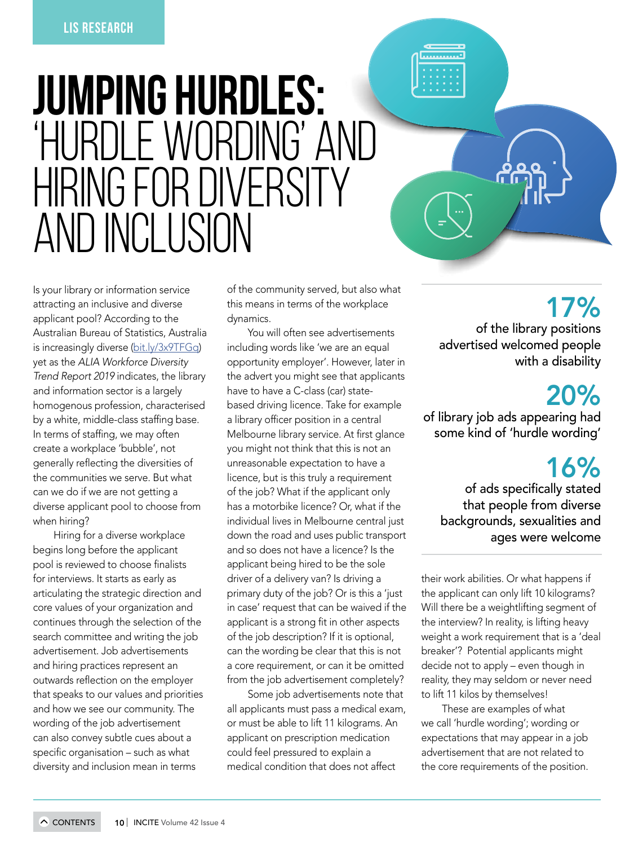# JUMPING HURDLES: I F WORDING'  $\left[\left(\begin{array}{c|c} 1 & 1 & 1 \end{array}\right]|1\rangle\right] + \left[\left(\begin{array}{c|c} 1 & 1 & 1 \end{array}\right]|1\rangle\right] + \left[\left(\begin{array}{c|c} 1 & 1 & 1 \end{array}\right]|1\rangle\right] + \left[\left(\begin{array}{c|c} 1 & 1 & 1 \end{array}\right]|1\rangle\right] + \left[\left(\begin{array}{c|c} 1 & 1 & 1 \end{array}\right]|1\rangle\right] + \left[\left(\begin{array}{c|c} 1 & 1 & 1 \end{array}\right)|1\rangle\right] + \left[\left(\begin{array}{c$ AND INCLUSION

Is your library or information service attracting an inclusive and diverse applicant pool? According to the Australian Bureau of Statistics, Australia is increasingly diverse [\(bit.ly/3x9TFGq\)](https://www.abs.gov.au/ausstats/abs@.nsf/mf/2024.0) yet as the *ALIA Workforce Diversity* 

 by a white, middle-class staffing base. In terms of staffing, we may often generally reflecting the diversities of *Trend Report 2019* indicates, the library and information sector is a largely homogenous profession, characterised create a workplace 'bubble', not the communities we serve. But what can we do if we are not getting a diverse applicant pool to choose from when hiring?

 pool is reviewed to choose finalists outwards reflection on the employer Hiring for a diverse workplace begins long before the applicant for interviews. It starts as early as articulating the strategic direction and core values of your organization and continues through the selection of the search committee and writing the job advertisement. Job advertisements and hiring practices represent an that speaks to our values and priorities and how we see our community. The wording of the job advertisement can also convey subtle cues about a

 specific organisation – such as what

 a library officer position in a central Melbourne library service. At first glance applicant is a strong fit in other aspects the advert you might see that applicants have to have a C-class (car) statebased driving licence. Take for example you might not think that this is not an unreasonable expectation to have a licence, but is this truly a requirement of the job? What if the applicant only has a motorbike licence? Or, what if the individual lives in Melbourne central just down the road and uses public transport and so does not have a licence? Is the applicant being hired to be the sole driver of a delivery van? Is driving a primary duty of the job? Or is this a 'just in case' request that can be waived if the of the job description? If it is optional, can the wording be clear that this is not a core requirement, or can it be omitted from the job advertisement completely?

diversity and inclusion mean in terms

of the community served, but also what this means in terms of the workplace dynamics.

You will often see advertisements including words like 'we are an equal opportunity employer'. However, later in

Some job advertisements note that all applicants must pass a medical exam, or must be able to lift 11 kilograms. An applicant on prescription medication

#### could feel pressured to explain a

medical condition that does not affect

17% of the library positions advertised welcomed people with a disability

a a a

## 20%

of library job ads appearing had some kind of 'hurdle wording'

# 16%

of ads specifically stated that people from diverse backgrounds, sexualities and ages were welcome

their work abilities. Or what happens if the applicant can only lift 10 kilograms? Will there be a weightlifting segment of the interview? In reality, is lifting heavy weight a work requirement that is a 'deal breaker'? Potential applicants might decide not to apply – even though in reality, they may seldom or never need to lift 11 kilos by themselves!

These are examples of what we call 'hurdle wording'; wording or expectations that may appear in a job

advertisement that are not related to

the core requirements of the position.

#### $\sim$  CONTENTS 10 INCITE Volume 42 Issue 4